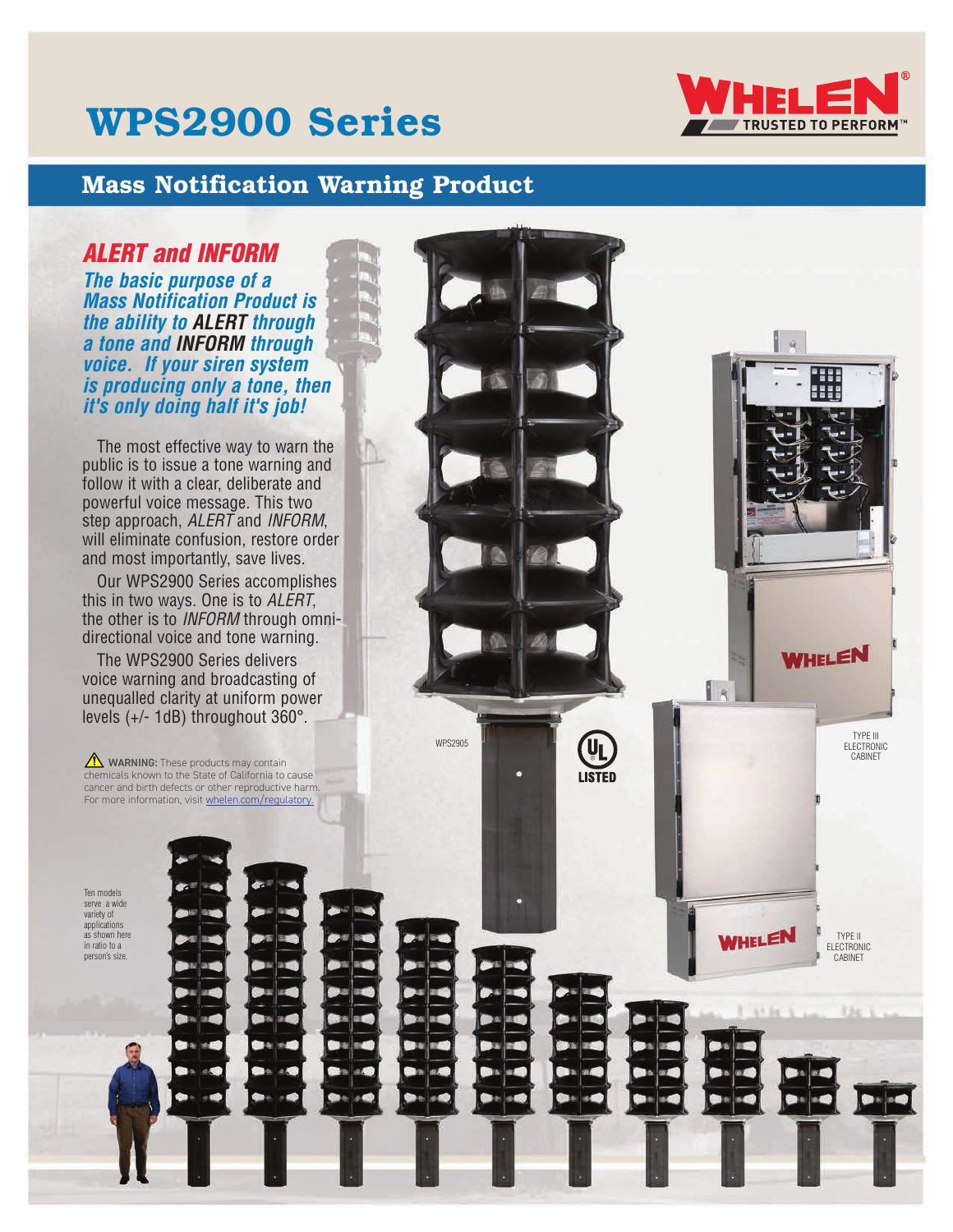# WPS2900 Series



''' :::

> TYPE III ELECTRONIC CABINET

WHELEN

TYPE II ELECTRONIC CABINET

WHELEN

### Mass Notification Warning Product

#### *ALERT and INFORM*

*The basic purpose of a Mass Notification Product is the ability to ALERT through a tone and INFORM through voice. If your siren system is producing only a tone, then it's only doing half it's job!*

The most effective way to warn the public is to issue a tone warning and follow it with a clear, deliberate and powerful voice message. This two step approach, *ALERT* and *INFORM*, will eliminate confusion, restore order and most importantly, save lives.

Our WPS2900 Series accomplishes this in two ways. One is to *ALERT*, the other is to *INFORM* through omnidirectional voice and tone warning.

The WPS2900 Series delivers voice warning and broadcasting of unequalled clarity at uniform power levels (+/- 1dB) throughout 360°.

**M** WARNING: These products may contain chemicals known to the State of California to cause cancer and birth defects or other reproductive harm. For more information, visit whelen.com/regulatory.

WPS2905

**UL**<br>LISTED

Ten models serve a wide variety of applications as shown here in ratio to a person's size.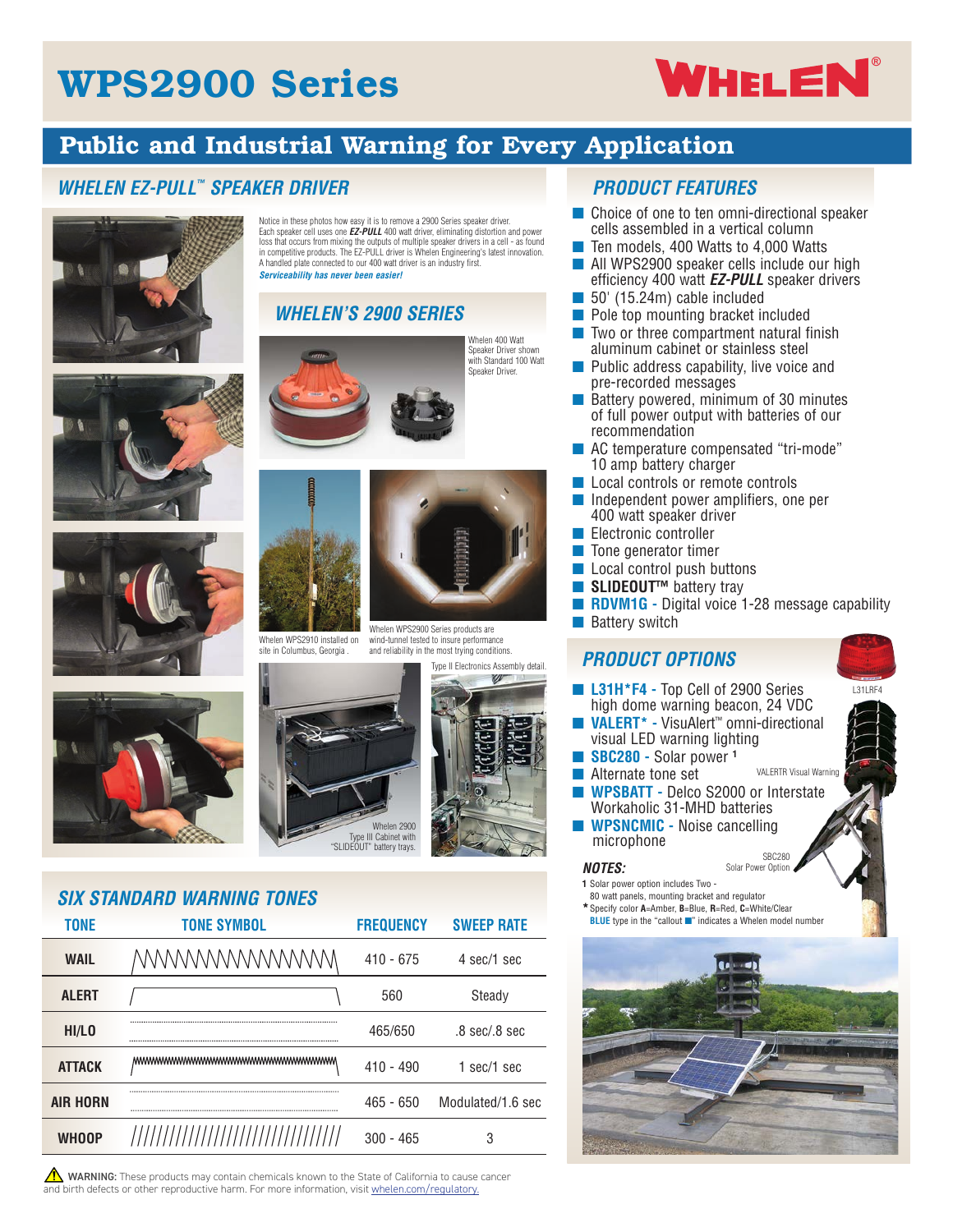# WPS2900 Series

# **WHELEN**<sup>®</sup>

## Public and Industrial Warning for Every Application

#### *WHELEN EZ-PULL™ SPEAKER DRIVER*







Notice in these photos how easy it is to remove a 2900 Series speaker driver. Each speaker cell uses one *EZ-PULL* 400 watt driver, eliminating distortion and power loss that occurs from mixing the outputs of multiple speaker drivers in a cell - as found in competitive products. The EZ-PULL driver is Whelen Engineering's latest innovation. A handled plate connected to our 400 watt driver is an industry first. *Serviceability has never been easier!*

#### *WHELEN'S 2900 SERIES*



Whelen 400 Watt Speaker Driver shown with Standard 100 Watt Speaker Driver.



Whelen WPS2910 installed on Whelen WPS2900 Series products are wind-tunnel tested to insure performance and reliability in the most trying conditions.





site in Columbus, Georgia



## *SIX STANDARD WARNING TONES*

| <b>TONF</b>     | TONE SYMBOL                         | <b>FREQUENCY</b> | <b>SWFFP RATE</b>  |  |  |
|-----------------|-------------------------------------|------------------|--------------------|--|--|
| <b>WAIL</b>     | WWWWWWWWW                           | $410 - 675$      | 4 sec/1 sec        |  |  |
| <b>ALERT</b>    |                                     | 560              | Steady             |  |  |
| HI/LO           |                                     | 465/650          | $.8$ sec/ $.8$ sec |  |  |
| <b>ATTACK</b>   | MWWWWWWWWWWWWWWWWWWWWWWWWW          | $410 - 490$      | $1$ sec/ $1$ sec   |  |  |
| <b>AIR HORN</b> |                                     | $465 - 650$      | Modulated/1.6 sec  |  |  |
| <b>WHOOP</b>    | /////////////////////////////////// | 300 - 465        | 3                  |  |  |

 $\sqrt{\phantom{a}}\phantom{a}$  WARNING: These products may contain chemicals known to the State of California to cause cancer and birth defects or other reproductive harm. For more information, visit whelen.com/regulatory.

#### *PRODUCT FEATURES*

- Choice of one to ten omni-directional speaker cells assembled in a vertical column
- Ten models, 400 Watts to 4,000 Watts
- All WPS2900 speaker cells include our high efficiency 400 watt *EZ-PULL* speaker drivers
- 50' (15.24m) cable included
- Pole top mounting bracket included
- Two or three compartment natural finish aluminum cabinet or stainless steel
- Public address capability, live voice and pre-recorded messages
- Battery powered, minimum of 30 minutes of full power output with batteries of our recommendation
- AC temperature compensated "tri-mode" 10 amp battery charger
- Local controls or remote controls
- Independent power amplifiers, one per 400 watt speaker driver
- Electronic controller
- Tone generator timer
- Local control push buttons
- **SLIDEOUT<sup>™</sup> battery tray**
- **RDVM1G** Digital voice 1-28 message capability
- Battery switch

#### *PRODUCT OPTIONS*

**L31H\*F4 - Top Cell of 2900 Series** high dome warning beacon, 24 VDC ■ **VALERT\* -** VisuAlert™ omni-directional visual LED warning lighting ■ **SBC280 -** Solar power **<sup>1</sup>** ■ Alternate tone set **WPSBATT - Delco S2000 or Interstate** Workaholic 31-MHD batteries ■ **WPSNCMIC -** Noise cancelling microphone VALERTR Visual Warning L31LRF4

#### *NOTES:*

- **1** Solar power option includes Two -
- 80 watt panels, mounting bracket and regulator **\***Specify color **A**=Amber, **B**=Blue, **R**=Red, **C**=White/Clear
- **BLUE** type in the "callout ■" indicates a Whelen model number



SBC280 Solar Power Option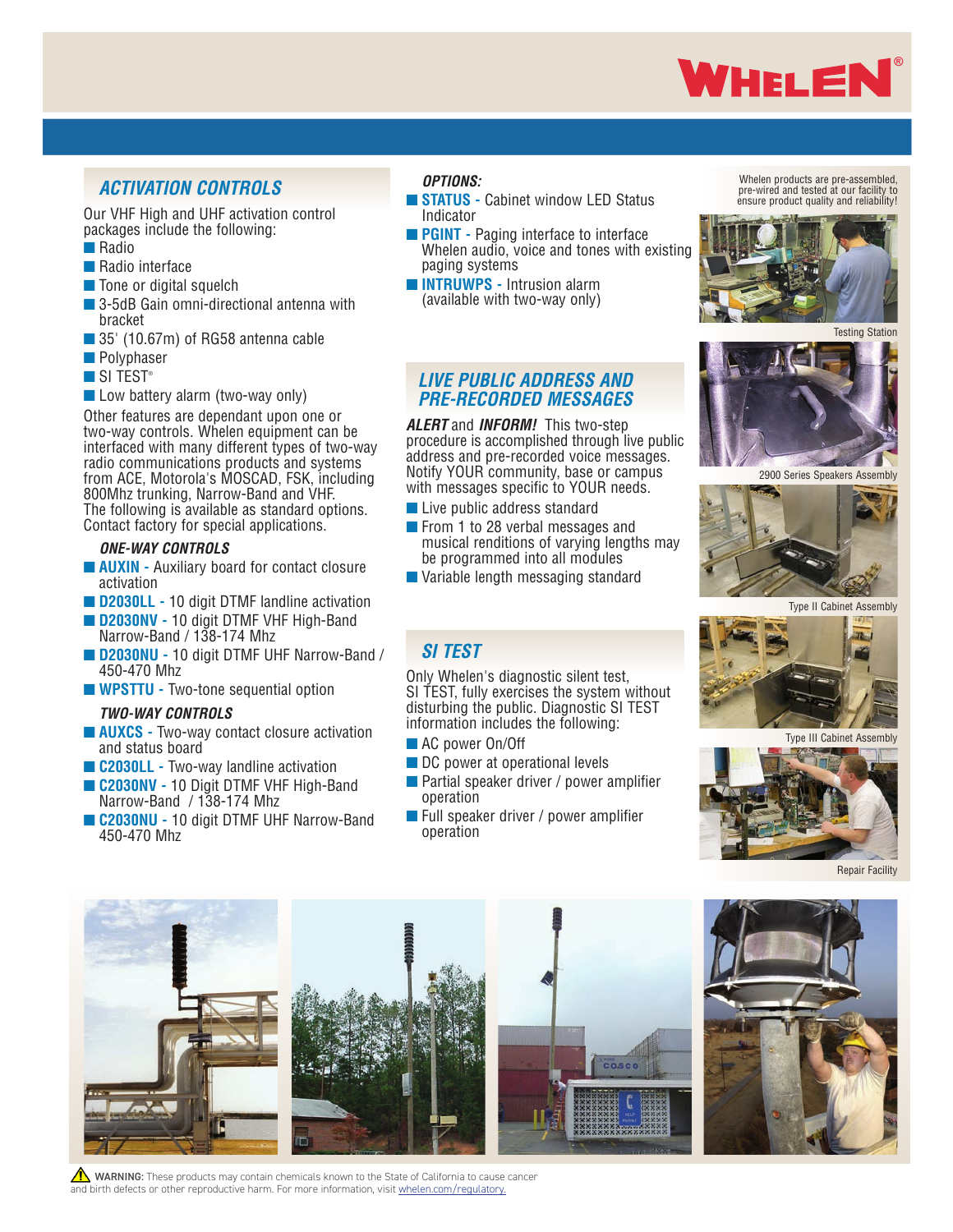

#### *ACTIVATION CONTROLS*

Our VHF High and UHF activation control packages include the following:

- ■ Radio
- Radio interface
- Tone or digital squelch
- 3-5dB Gain omni-directional antenna with bracket
- 35' (10.67m) of RG58 antenna cable
- Polyphaser
- SI TEST<sup>®</sup>
- Low battery alarm (two-way only)

Other features are dependant upon one or two-way controls. Whelen equipment can be interfaced with many different types of two-way radio communications products and systems from ACE, Motorola's MOSCAD, FSK, including 800Mhz trunking, Narrow-Band and VHF. The following is available as standard options. Contact factory for special applications.

#### *ONE-WAY CONTROLS*

- **AUXIN** Auxiliary board for contact closure activation
- **D2030LL** 10 digit DTMF landline activation
- **D2030NV 10 digit DTMF VHF High-Band** Narrow-Band / 138-174 Mhz
- ■ **D2030NU -** 10 digit DTMF UHF Narrow-Band / 450-470 Mhz
- **WPSTTU** Two-tone sequential option

#### *TWO-WAY CONTROLS*

- **AUXCS** Two-way contact closure activation and status board
- C2030LL Two-way landline activation
- **C2030NV 10 Digit DTMF VHF High-Band** Narrow-Band / 138-174 Mhz
- ■ **C2030NU -** 10 digit DTMF UHF Narrow-Band 450-470 Mhz

#### *OPTIONS:*

*SI TEST*

■ AC power On/Off

operation

operation

- **STATUS** Cabinet window LED Status Indicator
- **PGINT** Paging interface to interface Whelen audio, voice and tones with existing paging systems
- ■ **INTRUWPS -** Intrusion alarm (available with two-way only)

*LIVE PUBLIC ADDRESS AND PRE-RECORDED MESSAGES*

*ALERT* and *INFORM!* This two-step

■ Live public address standard ■ From 1 to 28 verbal messages and

be programmed into all modules ■ Variable length messaging standard

Only Whelen's diagnostic silent test, SI TEST, fully exercises the system without disturbing the public. Diagnostic SI TEST information includes the following:

■ DC power at operational levels

■ Partial speaker driver / power amplifier

■ Full speaker driver / power amplifier

procedure is accomplished through live public address and pre-recorded voice messages. Notify YOUR community, base or campus with messages specific to YOUR needs.

musical renditions of varying lengths may

Whelen products are pre-assembled, pre-wired and tested at our facility to ensure product quality and reliability!



Testing Station



2900 Series Speakers Assembly



Type II Cabinet Assembly



Type III Cabinet Assembly





WARNING: These products may contain chemicals known to the State of California to cause cancer and birth defects or other reproductive harm. For more information, visit whelen.com/regulatory.